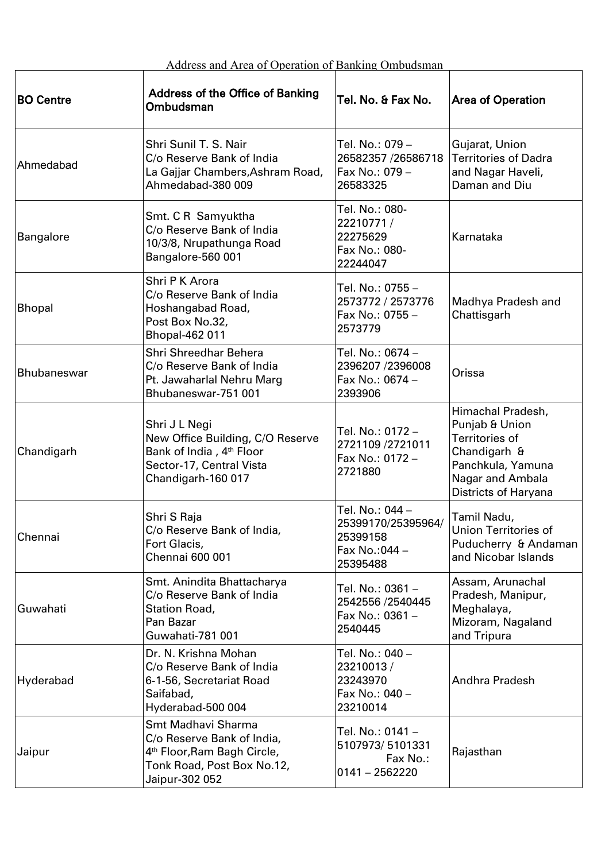| Address and Area of Operation of Banking Ombudsman |  |  |
|----------------------------------------------------|--|--|
|                                                    |  |  |

| Address and Area of Operation of Banking Ombudsman |                                                                                                                                             |                                                                                 |                                                                                                                                        |  |  |
|----------------------------------------------------|---------------------------------------------------------------------------------------------------------------------------------------------|---------------------------------------------------------------------------------|----------------------------------------------------------------------------------------------------------------------------------------|--|--|
| <b>BO Centre</b>                                   | <b>Address of the Office of Banking</b><br>Ombudsman                                                                                        | Tel. No. & Fax No.                                                              | <b>Area of Operation</b>                                                                                                               |  |  |
| Ahmedabad                                          | Shri Sunil T. S. Nair<br>C/o Reserve Bank of India<br>La Gajjar Chambers, Ashram Road,<br>Ahmedabad-380 009                                 | Tel. No.: 079 –<br>26582357 /26586718<br>Fax No.: 079 -<br>26583325             | Gujarat, Union<br><b>Territories of Dadra</b><br>and Nagar Haveli,<br>Daman and Diu                                                    |  |  |
| <b>Bangalore</b>                                   | Smt. C R Samyuktha<br>C/o Reserve Bank of India<br>10/3/8, Nrupathunga Road<br>Bangalore-560 001                                            | Tel. No.: 080-<br>22210771/<br>22275629<br>Fax No.: 080-<br>22244047            | Karnataka                                                                                                                              |  |  |
| <b>Bhopal</b>                                      | Shri P K Arora<br>C/o Reserve Bank of India<br>Hoshangabad Road,<br>Post Box No.32,<br><b>Bhopal-462 011</b>                                | Tel. No.: 0755 -<br>2573772 / 2573776<br>Fax No.: 0755 -<br>2573779             | Madhya Pradesh and<br>Chattisgarh                                                                                                      |  |  |
| <b>Bhubaneswar</b>                                 | Shri Shreedhar Behera<br>C/o Reserve Bank of India<br>Pt. Jawaharlal Nehru Marg<br>Bhubaneswar-751 001                                      | Tel. No.: 0674 -<br>2396207 /2396008<br>Fax No.: 0674 -<br>2393906              | Orissa                                                                                                                                 |  |  |
| Chandigarh                                         | Shri J L Negi<br>New Office Building, C/O Reserve<br>Bank of India, 4 <sup>th</sup> Floor<br>Sector-17, Central Vista<br>Chandigarh-160 017 | Tel. No.: 0172 -<br>2721109 /2721011<br>Fax No.: 0172 -<br>2721880              | Himachal Pradesh,<br>Punjab & Union<br>Territories of<br>Chandigarh &<br>Panchkula, Yamuna<br>Nagar and Ambala<br>Districts of Haryana |  |  |
| Chennai                                            | Shri S Raja<br>C/o Reserve Bank of India,<br>Fort Glacis,<br>Chennai 600 001                                                                | Tel. No.: 044 –<br>25399170/25395964/<br>25399158<br>Fax No.: 044 -<br>25395488 | Tamil Nadu,<br><b>Union Territories of</b><br>Puducherry & Andaman<br>and Nicobar Islands                                              |  |  |
| Guwahati                                           | Smt. Anindita Bhattacharya<br>C/o Reserve Bank of India<br>Station Road,<br>Pan Bazar<br>Guwahati-781 001                                   | Tel. No.: 0361 -<br>2542556 /2540445<br>Fax No.: 0361 -<br>2540445              | Assam, Arunachal<br>Pradesh, Manipur,<br>Meghalaya,<br>Mizoram, Nagaland<br>and Tripura                                                |  |  |
| Hyderabad                                          | Dr. N. Krishna Mohan<br>C/o Reserve Bank of India<br>6-1-56, Secretariat Road<br>Saifabad,<br>Hyderabad-500 004                             | Tel. No.: 040 –<br>23210013/<br>23243970<br>Fax No.: 040 -<br>23210014          | Andhra Pradesh                                                                                                                         |  |  |
| Jaipur                                             | Smt Madhavi Sharma<br>C/o Reserve Bank of India,<br>4 <sup>th</sup> Floor, Ram Bagh Circle,<br>Tonk Road, Post Box No.12,<br>Jaipur-302 052 | Tel. No.: 0141-<br>5107973/5101331<br>Fax No.:<br>$0141 - 2562220$              | Rajasthan                                                                                                                              |  |  |